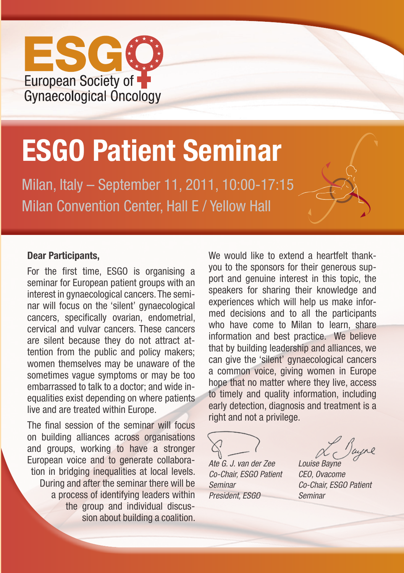

# **ESGO Patient Seminar**

Milan, Italy – September 11, 2011, 10:00-17:15 Milan Convention Center, Hall E / Yellow Hall

#### **Dear Participants,**

For the first time, ESGO is organising a seminar for European patient groups with an interest in gynaecological cancers. The seminar will focus on the 'silent' gynaecological cancers, specifically ovarian, endometrial, cervical and vulvar cancers. These cancers are silent because they do not attract attention from the public and policy makers; women themselves may be unaware of the sometimes vague symptoms or may be too embarrassed to talk to a doctor; and wide inequalities exist depending on where patients live and are treated within Europe.

The final session of the seminar will focus on building alliances across organisations and groups, working to have a stronger European voice and to generate collaboration in bridging inequalities at local levels. During and after the seminar there will be a process of identifying leaders within the group and individual discussion about building a coalition. We would like to extend a heartfelt thankyou to the sponsors for their generous support and genuine interest in this topic, the speakers for sharing their knowledge and experiences which will help us make informed decisions and to all the participants who have come to Milan to learn, share information and best practice. We believe that by building leadership and alliances, we can give the 'silent' gynaecological cancers a common voice, giving women in Europe hope that no matter where they live, access to timely and quality information, including early detection, diagnosis and treatment is a right and not a privilege.

*Ate G. J. van der Zee Louise Bayne Co-Chair, ESGO Patient CEO, Ovacome Seminar Co-Chair, ESGO Patient President, ESGO Seminar*

Jayre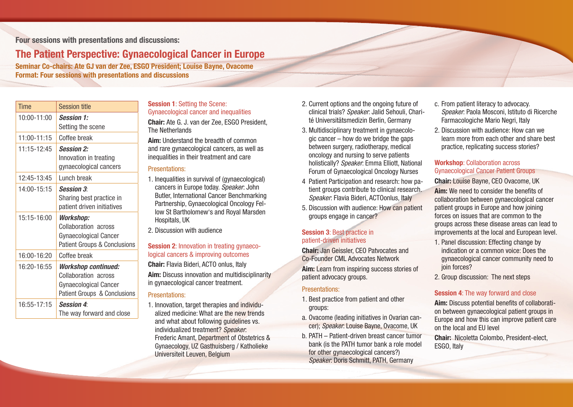# **Four sessions with presentations and discussions:**

# **The Patient Perspective: Gynaecological Cancer in Europe**

**Seminar Co-chairs: Ate GJ van der Zee, ESGO President; Louise Bayne, Ovacome Format: Four sessions with presentations and discussions**

| Time            | <b>Session title</b>                                                                                                          |
|-----------------|-------------------------------------------------------------------------------------------------------------------------------|
| 10:00-11:00     | <b>Session 1:</b><br>Setting the scene                                                                                        |
| 11:00-11:15     | Coffee break                                                                                                                  |
| $11:15 - 12:45$ | <b>Session 2:</b><br>Innovation in treating<br>gynaecological cancers                                                         |
| 12:45-13:45     | Lunch break                                                                                                                   |
| 14:00-15:15     | <b>Session 3:</b><br>Sharing best practice in<br>patient driven initiatives                                                   |
| 15:15-16:00     | <b>Workshop:</b><br>Collaboration across<br><b>Gynaecological Cancer</b><br><b>Patient Groups &amp; Conclusions</b>           |
| 16:00-16:20     | Coffee break                                                                                                                  |
| 16:20-16:55     | <b>Workshop continued:</b><br>Collaboration across<br><b>Gynaecological Cancer</b><br><b>Patient Groups &amp; Conclusions</b> |
| 16:55-17:15     | <b>Session 4:</b><br>The way forward and close                                                                                |

## **Session 1**: Setting the Scene: Gynaecological cancer and inequalities

**Chair:** Ate G. J. van der Zee, ESGO President, The Netherlands

**Aim:** Understand the breadth of common and rare gynaecological cancers, as well as inequalities in their treatment and care

# Presentations:

- 1. Inequalities in survival of (gynaecological) cancers in Europe today. *Speaker*: John Butler, International Cancer Benchmarking Partnership, Gynaecological Oncology Fellow St Bartholomew's and Royal Marsden Hospitals, UK
- 2. Discussion with audience

### **Session 2:** Innovation in treating gynaecological cancers & improving outcomes

**Chair:** Flavia Bideri, ACTO onlus, Italy **Aim:** Discuss innovation and multidisciplinarity in gynaecological cancer treatment.

## Presentations:

1. Innovation, target therapies and individualized medicine: What are the new trends and what about following guidelines vs. individualized treatment? *Speaker*: Frederic Amant, Department of Obstetrics & Gynaecology, UZ Gasthuisberg / Katholieke Universiteit Leuven, Belgium

- 2. Current options and the ongoing future of clinical trials? *Speaker*: Jalid Sehouli, Charité Universitätsmedizin Berlin, Germany
- 3. Multidisciplinary treatment in gynaecologic cancer – how do we bridge the gaps between surgery, radiotherapy, medical oncology and nursing to serve patients holistically? *Speaker*: Emma Elliott, National Forum of Gynaecological Oncology Nurses
- 4 Patient Participation and research: how patient groups contribute to clinical research. *Speaker*: Flavia Bideri, ACTOonlus, Italy
- 5. Discussion with audience: How can patient groups engage in cancer?

# **Session 3**: Best practice in patient-driven initiatives

**Chair:** Jan Geissler, CEO Patvocates and Co-Founder CML Advocates Network

**Aim:** Learn from inspiring success stories of patient advocacy groups.

## Presentations:

- 1. Best practice from patient and other groups:
- a. Ovacome (leading initiatives in Ovarian cancer); *Speaker*: Louise Bayne, Ovacome, UK
- b. PATH Patient-driven breast cancer tumor bank (is the PATH tumor bank a role model for other gynaecological cancers?) *Speaker*: Doris Schmitt, PATH, Germany
- c. From patient literacy to advocacy. *Speaker*: Paola Mosconi, Istituto di Ricerche Farmacologiche Mario Negri, Italy
- 2. Discussion with audience: How can we learn more from each other and share best practice, replicating success stories?

#### **Workshop**: Collaboration across Gynaecological Cancer Patient Groups

**Chair:** Louise Bayne, CEO Ovacome, UK

**Aim:** We need to consider the benefits of collaboration between gynaecological cancer patient groups in Europe and how joining forces on issues that are common to the groups across these disease areas can lead to improvements at the local and European level.

- 1. Panel discussion: Effecting change by indication or a common voice: Does the gynaecological cancer community need to join forces?
- 2. Group discussion: The next steps

# **Session 4: The way forward and close**

**Aim:** Discuss potential benefits of collaboration between gynaecological patient groups in Europe and how this can improve patient care on the local and EU level

**Chair:** Nicoletta Colombo, President-elect, ESGO, Italy